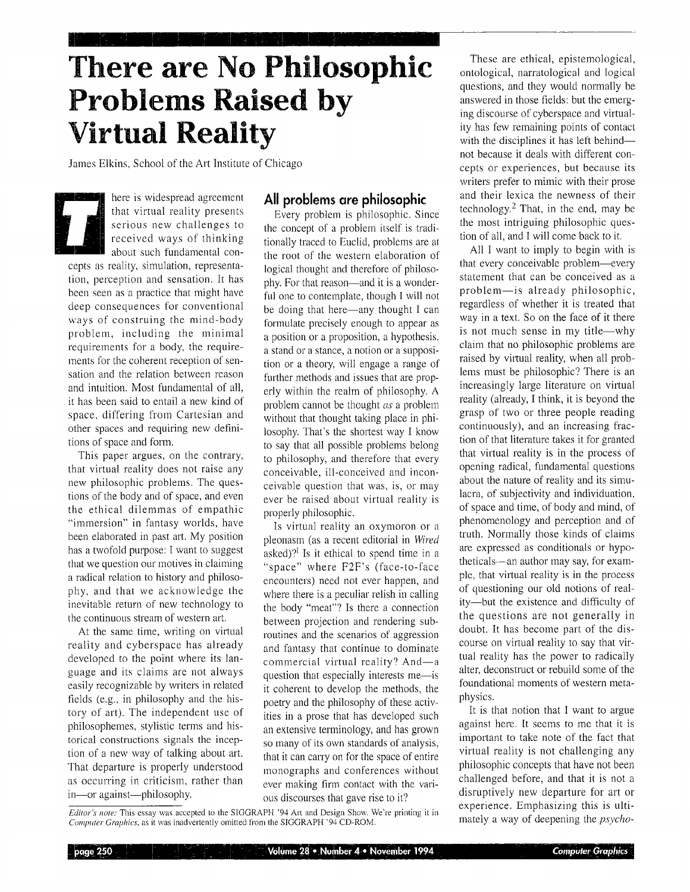# **There are No Philosophic Problems Raised by Virtual Reality**

James Elkins, School of the Art Institute of Chicago

**•** here is widespread agreement that virtual reality presents serious new challenges to received ways of thinking about such fundamental concepts as reality, simulation, representation, perception and sensation. It has been seen as a practice that might have deep consequences for conventional ways of construing the mind-body problem, including the minimal requirements for a body, the requirements for the coherent reception of sensation and the relation between reason and intuition. Most fundamental of all, it has been said to entail a new kind of space, differing from Cartesian and other spaces and requiring new definitions of space and form.

This paper argues, on the contrary, that virtual reality does not raise any new philosophic problems. The questions of the body and of space, and even the ethical dilemmas of empathic "immersion" in fantasy worlds, have been elaborated in past art. My position has a twofold purpose: I want to suggest that we question our motives in claiming a radical relation to history and philosophy, and that we acknowledge the inevitable return of new technology to the continuous stream of western art.

At the same time, writing on virtual reality and cyberspace has already developed to the point where its language and its claims are not always easily recognizable by writers in related fields (e.g., in philosophy and the history of art). The independent use of philosophemes, stylistic temas and historical constructions signals the inception of a new way of talking about art, That departure is properly understood as occurring in criticism, rather than in-or against---philosophy.

 $page 250$ 

#### **All problems are philosophic**

Every problem is philosophic. Since the concept of a problem itself is traditionally traced to Euclid, problems are at the root of the western elaboration of logical thought and therefore of philosophy. For that reason--and it is a wonderful one to contemplate, though I will not be doing that here—any thought I can formulate precisely enough to appear as a position or a proposition, a hypothesis, a stand or a stance, a notion or a supposition or a theory, will engage a range of further methods and issues that are properly within the realm of philosophy. A problem cannot be thought *as* a problem without that thought taking place in philosophy. That's the shortest way I know to say that all possible problems belong to philosophy, and therefore that every conceivable, ill-conceived and inconceivable question that was, is, or may ever be raised about virtual reality is properly philosophic.

Is virtuaI reality an oxymoron or a pleonasm (as a recent editorial in *Wired*  asked)?<sup>1</sup> Is it ethical to spend time in a "space" where F2F's (face-to-face encounters) need not ever happen, and where there is a peculiar relish in calling the body "meat"? Is there a connection between projection and rendering subroutines and the scenarios of aggression and fantasy that continue to dominate commercial virtual reality? And-a question that especially interests me-is it coherent to develop the methods, the poetry and the philosophy of these activities in a prose that has developed such an extensive terminology, and has grown so many of **its** own standards of analysis, that it can carry on for the space of entire monographs and conferences without ever making firm contact with the various discourses that gave rise to it?

*Editor's note:* This essay was accepted to the SIGGRAPH '94 Art and Design Show. We're printing it in *Computer Graphics*, as it was inadvertently omitted from the SIGGRAPH '94 CD-ROM.

These are ethical, epistemological, ontological, narratological and logical questions, and they would normally be answered in those fields: but the emerging discourse of cyberspace and virtuality has few remaining points of contact with the disciplines it has left behindnot because it deals with different concepts or experiences, but because its writers prefer to mimic with their prose and their lexica the newness of their technology. $<sup>2</sup>$  That, in the end, may be</sup> the most intriguing philosophic question of all, and I will come back to it.

All I want to imply to begin with is that every conceivable problem--every statement that can be conceived as a problem-is already philosophic, regardless of whether it is treated that way in a text. So on **the** face of it there is not much sense in my title—why claim that no philosophic problems are raised by virtual reality, when all problems must be philosophic? There is an increasingly large literature on virtual reality (already, I think, it is beyond the grasp of two or three people reading continuously), and an increasing fraction of that literature takes it for granted that virtual reality is in the process of opening radical, fundamental questions about the nature of reality and its simulacra, of subjectivity and individuation, of space and time, of body and mind, of phenomenology and perception and of truth. Normally those kinds of claims are expressed as conditionals or hypotheticals--an author may say, for example, that virtual reality is in the process of questioning our old notions of reality-but the existence and difficulty of the questions are not generally in doubt. It has become part of the discourse on virtual reality to say that virtual reality has the power to radically alter, deconstruct or rebuild some of the foundational moments of western metaphysics.

It is that notion that I want to argue against here. It seems to me that it is important to take note of the fact that virtual reality is not challenging any philosophic concepts that have not been challenged before, and that it is not a disruptively new departure for art or experience. Emphasizing this is ultimately a way of deepening the *psycho-*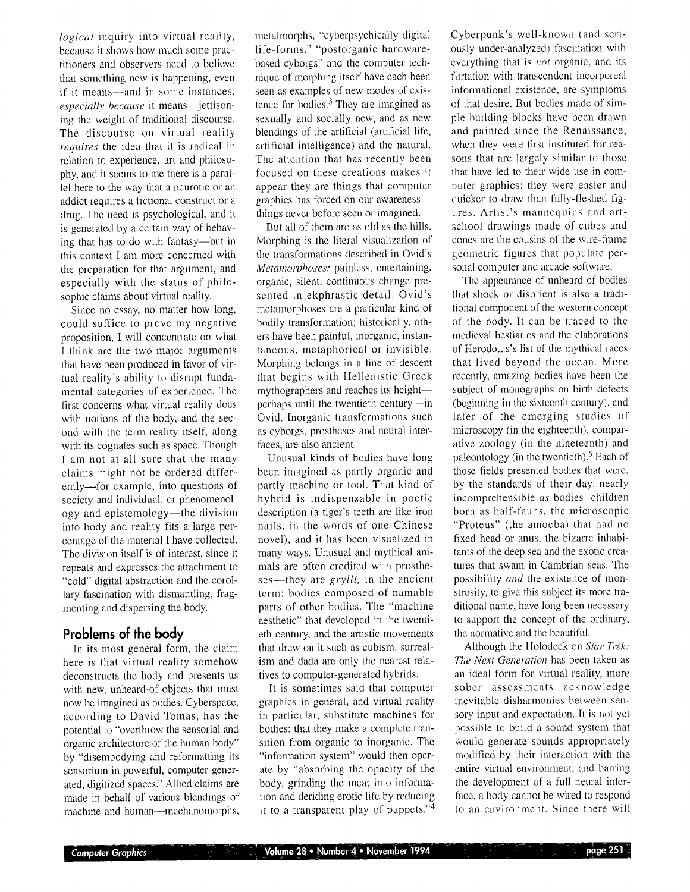*logical* inquiry into virtual reality, because it shows how much some practitioners and observers need to believe that something new is happening, even if it means-and in some instances, especially because it means-jettisoning the weight of traditional discourse. The discourse on virtual reality *requires* the idea that it is radical in relation to experience, art and philosophy, and it seems to me there is a parallel here to the way that a neurotic or an addict requires a fictional construct or a drug. The need is psychological, and it is generated by a certain way of behaving that has to do with fantasy--but in this context I am more concerned with the preparation for that argument, and especially with the status of philosophic claims about virtual reality.

Since no essay, no matter how long, could suffice to prove my negative proposition, I will concentrate on what I think are the two major arguments that have been produced in favor of virtual reality's ability to disrupt fundamental categories of experience. The first concerns what virtual reality does with notions of the body, and the second with the term reality itself, along with its cognates such as space. Though I am not at all sure that the many claims might not be ordered differently--for example, into questions of society and individual, or phenomenology and epistemology—the division into body and reality fits a large percentage of the material I have collected. The division itself is of interest, since it repeats and expresses the attachment to "cold" digital abstraction and the corollary fascination with dismantling, fragmeriting and dispersing the body.

## **Problems of the body**

In its most general form, the claim here is that virtual reality somehow deconstructs the body and presents us with new, unheard-of objects that must now be imagined as bodies. Cyberspace, according to David Tomas, has the potential to "overthrow the sensorial and organic architecture of the human body" by "disembodying and reformatting its sensorium in powerful, computer-generated, digitized spaces." Allied claims are made in behalf of various blendings of machine and human-mechanomorphs, metalmorphs, "cyberpsychically digital life-forms," "postorganic hardwarebased cyborgs" and the computer technique of morpbing itself have each been seen as examples of new modes of existence for bodies. $3$  They are imagined as sexually and socially new, and as new blendings of the artificial (artificial life, artificial intelligence) and the natural. The attention that has recently been focused on these creations makes it appear they are things that computer graphics has forced on our awareness- things never before seen or imagined.

But all of them are as old as the hills. Morpbing is the literal visualization of the transformations described in Ovid's *Metamorphoses:* painless, entertaining, organic, silent, continuous change presented in ekphrastic detail. Ovid's metamorphoses are a particular kind of bodily transformation; historically, others have been painful, inorganic, instantaneous, metaphorical or invisible. Morpbing belongs in a line of descent that begins with Hellenistic Greek mythographers and reaches its heightperhaps until the twentieth century--in Ovid. Inorganic transformations such as cyborgs, prostheses and neural interfaces, are also ancient.

Unusual kinds of bodies have long been imagined as partly organic and partly machine or tool. That kind of hybrid is indispensable in poetic description (a tiger's teeth are like iron nails, in the words of one Chinese novel), and it has been visualized in many ways. Unusual and mythical animals are often credited with prostheses—they are *grylli*, in the ancient term: bodies composed of namable parts of other bodies. The "machine aesthetic" that developed in the twentieth century, and the artistic movements that drew on it such as cubism, surrealism and dada are only the nearest relatives to computer-generated hybrids.

It is sometimes said that computer graphics in general, and virtual reality in particular, substitute machines for bodies: that they make a complete transition from organic to inorganic. The "information system" would then operate by "absorbing the opacity of the body, grinding the meat into information and deriding erotic life by reducing it to a transparent play of puppets."<sup>4</sup>

Cyberpunk's well-known (and seriously under-analyzed) fascination with everything that is *not* organic, and its flirtation with transcendent incorporeal informational existence, are symptoms of that desire. But bodies made of simple building blocks have been drawn and painted since the Renaissance, when they were first instituted for reasons that are largely similar to those that have led to their wide use in computer graphics: they were easier and quicker to draw than fully-fleshed figures. Artist's mannequins and artschool drawings made of cubes and cones are the cousins of the wire-frame geometric figures that populate personal computer and arcade software.

The appearance of unheard-of bodies that shock or disorient is also a traditional component of the western concept of the body. It can be traced to the medieval bestiaries and the elaborations of Herodotus's list of the mythical races that lived beyond the ocean. More recently, amazing bodies have been the subject of monographs on birth defects (beginning in the sixteenth century), and later of the emerging studies of microscopy (in the eighteenth), comparative zoology (in the nineteenth) and paleontology (in the twentieth).<sup>5</sup> Each of those fields presented bodies that were, by the standards of their day, nearly incomprehensible *as* bodies: children born as half-fauns, the microscopic "Proteus" (the amoeba) that had no fixed head or anus, the bizarre inhabitants of the deep sea and the exotic creatures that swam in Cambrian seas. The possibility *and* the existence of monstrosity, to give this subject its more traditional name, have long been necessary to support the concept of the ordinary, the normative and the beautiful.

Although the Holodeck on *Star Trek: The Next Generation* has been taken as an ideal form for virtual reality, more sober assessments acknowledge inevitable disharmonies between sensory input and expectation. It is not yet possible to build a sound system that would generate sounds appropriately modified by their interaction with the entire virtual environment, and barring the development of a full neural interface, a body cannot be wired to respond to an environment. Since there will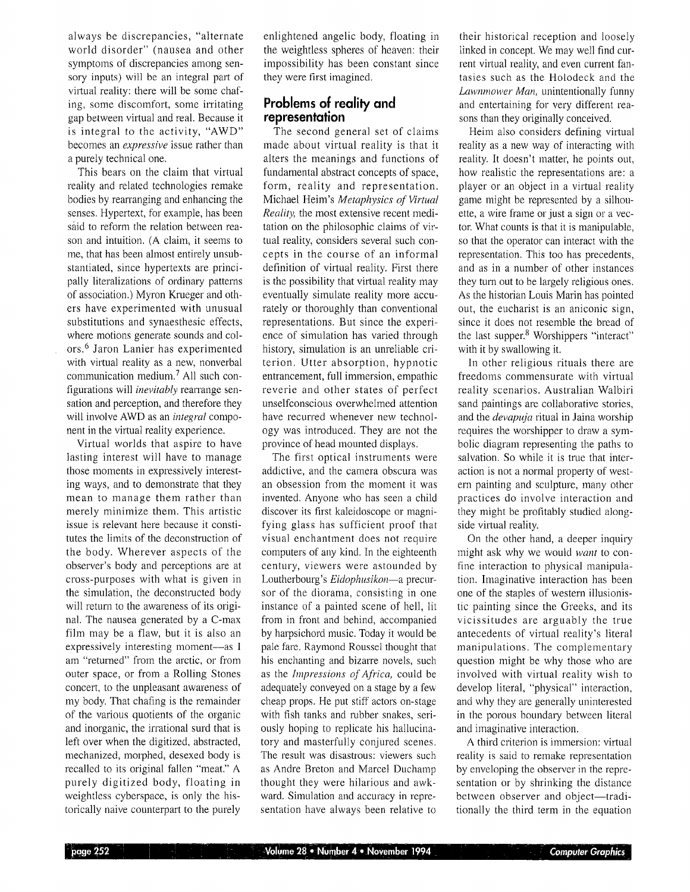always be discrepancies, "alternate world disorder" (nausea and other symptoms of discrepancies among sensory inputs) will be an integral part of virtual reality: there will be some chafing, some discomfort, some irritating gap between virtual and real. Because it is integral to the activity, "AWD" becomes an *expressive* issue rather than a purely technical one.

This bears on the claim that virtuai reality and related technologies remake bodies by rearranging and enhancing the senses. Hypertext, for example, has been said to reform the relation between reason and intuition. (A claim, it seems to me, that has been almost entirely unsubstantiated, since hypertexts are principally literalizations of ordinary patterns of association.) Myron Krueger and others have experimented with unusual substitutions and synaesthesic effects, where motions generate sounds and colors. 6 Jaron Lanier has experimented with virtual reality as a new, nonverbal communication medium.<sup>7</sup> All such configurations will *inevitably* rearrange sensation and perception, and therefore they will involve AWD as an *integral* component in the virtual reality experience.

Virtual worlds that aspire to have lasting interest will have to manage those moments in expressively interesting ways, and to demonstrate that they mean to manage them rather than merely minimize them. This artistic issue is relevant here because it constitutes the limits of the deconstruction of the body. Wherever aspects of the observer's body and perceptions are at cross-purposes with what is given in the simulation, the deconstructed body will return to the awareness of its original. The nausea generated by a C-max film may be a flaw, but it is also an expressively interesting moment--as I am "returned" from the arctic, or from outer space, or from a Rolling Stones concert, to the unpleasant awareness of my body. That chafing is the remainder of the various quotients of the organic and inorganic, the irrational surd that is left over when the digitized, abstracted, mechanized, morphed, desexed body is recalled to its original fallen "meat." A purely digitized body, floating in weightless cyberspace, is only the historically naive counterpart to the purely

enlightened angelic body, floating in the weightless spheres of heaven: their impossibility has been constant since they were first imagined.

## **Problems of reality and representation**

The second general set of claims made about virtual reality is that it alters the meanings and functions of fundamental abstract concepts of space, form, reality and representation. Michael Helm's *Metaphysics of Virtual Reality*, the most extensive recent meditation on the philosophic claims of virtual reality, considers several such concepts in the course of an informal definition of virtual reality. First there is the possibility that virtual reality may eventually simulate reality more accurately or thoroughly than conventional representations. But since the experience of simulation has varied through history, simulation is an unreliable criterion. Utter absorption, hypnotic entrancement, full immersion, empathic reverie and other states of perfect unselfconscious overwhelmed attention have recurred whenever new technology was introduced. They are not the province of head mounted displays.

The first optical instruments were addictive, and the camera obscura was an obsession from the moment it was invented. Anyone who has seen a child discover its first kaleidoscope or magnifying glass has sufficient proof that visual enchantment does not require computers of any kind. In the eighteenth century, viewers were astounded by Loutherbourg's *Eidophusikon*—a precursor of the diorama, consisting in one instance of a painted scene of hell, lit from in front and behind, accompanied by harpsichord nmsic. Today it would be pale fare. Raymond Roussel thought that his enchanting and bizarre novels, such as the *bnpressions of Africa,* could be adequately conveyed on a stage by a few cheap props. He put stiff actors on-stage with fish tanks and rubber snakes, seriously hoping to replicate his hallucinatory and masterfully conjured scenes. The result was disastrous: viewers such as Andre Breton and Marcel Duchamp thought they were hilarious and awkward. Simulation and accuracy in representation have always been relative to

their historical reception and loosely linked in concept. We may well find current virtual reality, and even current fantasies such as the Holodeck and the *Lawnmower Man,* unintentionally funny and entertaining for very different reasons than they originally conceived.

Heim also considers defining virtual reality as a new way of interacting with reality. It doesn't matter, he points out, how realistic the representations are: a player or an object in a virtual reality game might be represented by a silhouette, a wire frame or just a sign or a vector. What counts is that it is manipulable, so that the operator can interact with the representation. This too has precedents, and as in a number of other instances they turn out to be largely religious ones. As the historian Louis Marin has pointed out, the eucharist is an aniconic sign, since it does not resemble the bread of the last supper.<sup>8</sup> Worshippers "interact" with it by swallowing it.

In other religious rituals there are freedoms commensurate with virtual reality scenarios. Australian Walbiri sand paintings are collaborative stories, and the *devapuja* ritual in Jaina worship requires the worshipper to draw a symbolic diagram representing the paths to salvation. So while it is true that interaction is not a normal property of western painting and sculpture, many other practices do involve interaction and they might be profitably studied alongside virtual reality.

On the other hand, a deeper inquiry might ask why we would *want* to confine interaction to physical manipulation. Imaginative interaction has been one of the staples of western illusionistic painting since the Greeks, and its vicissitudes are arguably the true antecedents of virtual reality's literal manipulations. The complementary question might be why those who are involved with virtual reality wish to develop literal, "physical" interaction, and why they are generally uninterested in the porous boundary between literal and imaginative interaction.

A third criterion is immersion: virtual reality is said to remake representation by enveloping the observer in the representation or by shrinking the distance between observer and object—traditionally the third term in the equation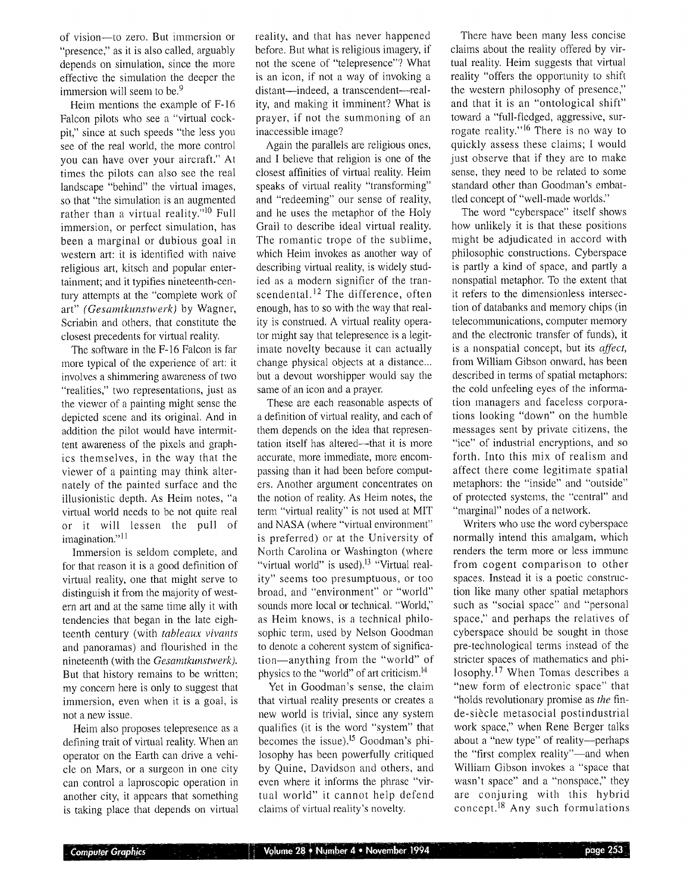of vision--to zero. But immersion or "presence," as it is also called, arguably depends on simulation, since the more effective the simulation the deeper the immersion will seem to be.<sup>9</sup>

Heim mentions the example of F-16 Falcon pilots who see a "virtual cockpit," since at such speeds "the less you see of the real world, the more control you can have over your aircraft." At times the pilots can also see the real landscape "behind" the virtual images, so that "the simulation is an augmented rather than a virtual reality."<sup>10</sup> Full immersion, or perfect simulation, has been a marginal or dubious goal in western art: it is identified with naive religious art, kitsch and popular entertainment; and it typifies nineteenth-century attempts at the "complete work of art" *(Gesamtkunstwerk)* by Wagner, Scriabin and others, that constitute the closest precedents for virtual reality.

The software in the F-16 Falcon is far more typical of the experience of art: it involves a shimmering awareness of two "realities," two representations, just as the viewer of a painting might sense the depicted scene and its original. And in addition the pilot would have intermittent awareness of the pixels and graphics themselves, in the way that the viewer of a painting may think alternately of the painted surface and the illusionistic depth, As Helm notes, "a virtual world needs to be not quite real or it will lessen the pull of imagination."11

Immersion is seldom complete, and for that reason it is a good definition of virtual reality, one that might serve to distinguish it from the majority of western art and at the same time ally it with tendencies that began in the late eighteenth century (with *tableaux vivants*  and panoramas) and flourished in the nineteenth (with the *Gesamtkunstwerk).*  But that history remains to be written; my concern here is only to suggest that immersion, even when it is a goal, is not a new issue,

Heim also proposes telepresence as a defining trait of virtual reality. When an operator on the Earth can drive a vehicle on Mars, or a surgeon in one city can control a laproscopic operation in another city, it appears that something is taking place that depends on virtual reality, and that has never happened before. But what is religious imagery, if not the scene of "telepresence"? What is an icon, if not a way of invoking a distant--indeed, a transcendent--reality, and making it imminent? What is prayer, if not the summoning of an inaccessible image?

Again the parallels are religious ones, and I believe that religion is one of the closest affinities of virtual reality. Heim speaks of virtual reality "transforming" and "redeeming" our sense of reality, and he uses the metaphor of the Holy Grail to describe ideal virtual reality. The romantic trope of the sublime, which Heim invokes as another way of describing virtual reality, is widely studied as a modern signifier of the transcendental.<sup>12</sup> The difference, often enough, has to so with the way that reality is construed. A virtual reality operator night say that telepresence is a legitimate novelty because it can actually change physical objects at a distance... but a devout worshipper would say the same of an icon and a prayer.

These are each reasonable aspects of a definition of virtual reality, and each of them depends on the idea that representation itself has altered--that it is more accurate, more immediate, more encompassing than it had been before computers. Another argument concentrates on the notion of reality. As Heim notes, the term "virtual reality" is not used at MIT and NASA (where "virtual environment" is preferred) or at the University of North Carolina or Washington (where "virtual world" is used).<sup>13</sup> "Virtual reality" seems too presumptuous, or too broad, and "environment" or "world" sounds more local or technical. "World," as Heim knows, is a technical philosophic term, used by Nelson Goodman to denote a coherent system of signification-anything from the "world" of physics to the "world" of art criticism. 14

Yet in Goodman's sense, the claim that virtual reality presents or creates a new world is trivial, since any system qualifies (it is the word "system" that becomes the issue).<sup>15</sup> Goodman's philosophy has been powerfully critiqued by Quine, Davidson and others, and even where it informs the phrase "virtual world" it cannot help defend claims of virtual reality's novelty.

There have been many less concise claims about the reality offered by virtual reality. Heim suggests that virtual reality "offers the opportunity to shift the western philosophy of presence," and that it is an "ontological shift" toward a "full-fledged, aggressive, surrogate reality."<sup>16</sup> There is no way to quickly assess these claims; I would just observe that if they are to make sense, they need to be related to some standard other than Goodman's embattled concept of "well-made worlds."

The word "cyberspace" itself shows how unlikely it is that these positions might be adjudicated in accord with philosophic constructions. Cyberspace is partly a kind of space, and partly a nonspatial metaphor. To the extent that it refers to the dimensionless intersection of databanks and memory chips (in telecommunications, computer memory and the electronic transfer of funds), it is a nonspatial concept, but its *affect,*  from William Gibson onward, has been described in terms of spatial metaphors: the cold unfeeling eyes of the information managers and faceless corporations looking "down" on the humble messages sent by private citizens, the "ice" of industrial encryptions, and so forth. Into this mix of realism and affect there come legitimate spatial metaphors: the "inside" and "outside" of protected systems, the "central" and "marginal" nodes of a network.

Writers who use the word cyberspace normally intend this amalgam, which renders the term more or less immune from cogent comparison to other spaces. Instead it is a poetic construction like many other spatial metaphors such as "social space" and "personal space," and perhaps the relatives of cyberspace should be sought in those pre-technological terms instead of the stricter spaces of mathematics and philosophy. 17 When Tomas describes a "new form of electronic space" that "holds revolutionary promise as *the* finde-siècle metasocial postindustrial work space," when Rene Berger talks about a "new type" of reality---perhaps the "first complex reality"--- and when William Gibson invokes a "space that wasn't space" and a "nonspace," they are conjuring with this hybrid concept. 18 Any such formulations